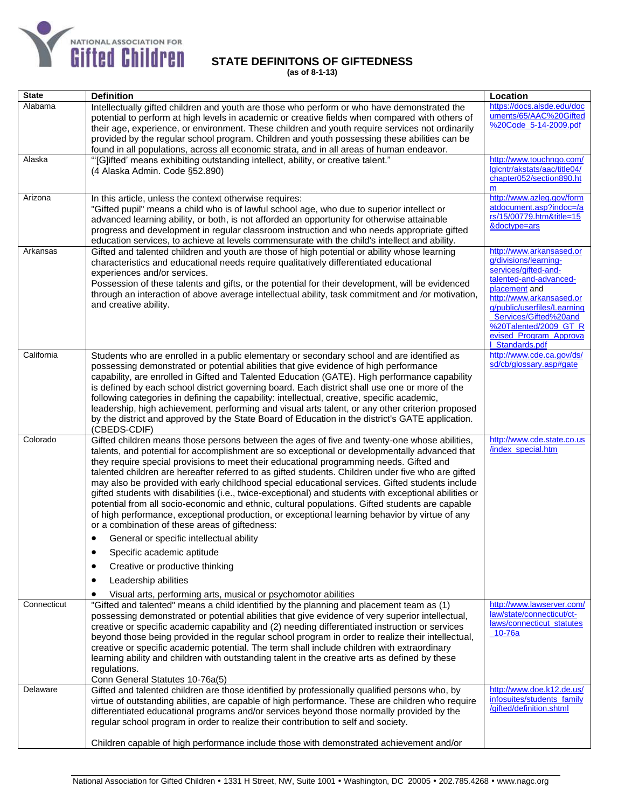

## **STATE DEFINITONS OF GIFTEDNESS**

**(as of 8-1-13)**

| <b>State</b> | <b>Definition</b>                                                                                                                                                                                                                                                                                                                                                                                                                                                                                                                                                                                                                                                                                                                                                                                                                                                                                                                                                                                                                                                                                   | Location                                                                                                                                                                                                                                                                     |
|--------------|-----------------------------------------------------------------------------------------------------------------------------------------------------------------------------------------------------------------------------------------------------------------------------------------------------------------------------------------------------------------------------------------------------------------------------------------------------------------------------------------------------------------------------------------------------------------------------------------------------------------------------------------------------------------------------------------------------------------------------------------------------------------------------------------------------------------------------------------------------------------------------------------------------------------------------------------------------------------------------------------------------------------------------------------------------------------------------------------------------|------------------------------------------------------------------------------------------------------------------------------------------------------------------------------------------------------------------------------------------------------------------------------|
| Alabama      | Intellectually gifted children and youth are those who perform or who have demonstrated the<br>potential to perform at high levels in academic or creative fields when compared with others of<br>their age, experience, or environment. These children and youth require services not ordinarily<br>provided by the regular school program. Children and youth possessing these abilities can be<br>found in all populations, across all economic strata, and in all areas of human endeavor.                                                                                                                                                                                                                                                                                                                                                                                                                                                                                                                                                                                                      | https://docs.alsde.edu/doc<br>uments/65/AAC%20Gifted<br>%20Code_5-14-2009.pdf                                                                                                                                                                                                |
| Alaska       | "[G]ifted' means exhibiting outstanding intellect, ability, or creative talent."<br>(4 Alaska Admin. Code §52.890)                                                                                                                                                                                                                                                                                                                                                                                                                                                                                                                                                                                                                                                                                                                                                                                                                                                                                                                                                                                  | http://www.touchngo.com/<br>Iglcntr/akstats/aac/title04/<br>chapter052/section890.ht<br>m                                                                                                                                                                                    |
| Arizona      | In this article, unless the context otherwise requires:<br>"Gifted pupil" means a child who is of lawful school age, who due to superior intellect or<br>advanced learning ability, or both, is not afforded an opportunity for otherwise attainable<br>progress and development in regular classroom instruction and who needs appropriate gifted<br>education services, to achieve at levels commensurate with the child's intellect and ability.                                                                                                                                                                                                                                                                                                                                                                                                                                                                                                                                                                                                                                                 | http://www.azleg.gov/form<br>atdocument.asp?indoc=/a<br>rs/15/00779.htm&title=15<br>&doctype=ars                                                                                                                                                                             |
| Arkansas     | Gifted and talented children and youth are those of high potential or ability whose learning<br>characteristics and educational needs require qualitatively differentiated educational<br>experiences and/or services.<br>Possession of these talents and gifts, or the potential for their development, will be evidenced<br>through an interaction of above average intellectual ability, task commitment and /or motivation,<br>and creative ability.                                                                                                                                                                                                                                                                                                                                                                                                                                                                                                                                                                                                                                            | http://www.arkansased.or<br>g/divisions/learning-<br>services/gifted-and-<br>talented-and-advanced-<br>placement and<br>http://www.arkansased.or<br>g/public/userfiles/Learning<br>Services/Gifted%20and<br>%20Talented/2009_GT_R<br>evised_Program_Approva<br>Standards.pdf |
| California   | Students who are enrolled in a public elementary or secondary school and are identified as<br>possessing demonstrated or potential abilities that give evidence of high performance<br>capability, are enrolled in Gifted and Talented Education (GATE). High performance capability<br>is defined by each school district governing board. Each district shall use one or more of the<br>following categories in defining the capability: intellectual, creative, specific academic,<br>leadership, high achievement, performing and visual arts talent, or any other criterion proposed<br>by the district and approved by the State Board of Education in the district's GATE application.<br>(CBEDS-CDIF)                                                                                                                                                                                                                                                                                                                                                                                       | http://www.cde.ca.gov/ds/<br>sd/cb/glossary.asp#gate                                                                                                                                                                                                                         |
| Colorado     | Gifted children means those persons between the ages of five and twenty-one whose abilities,<br>talents, and potential for accomplishment are so exceptional or developmentally advanced that<br>they require special provisions to meet their educational programming needs. Gifted and<br>talented children are hereafter referred to as gifted students. Children under five who are gifted<br>may also be provided with early childhood special educational services. Gifted students include<br>gifted students with disabilities (i.e., twice-exceptional) and students with exceptional abilities or<br>potential from all socio-economic and ethnic, cultural populations. Gifted students are capable<br>of high performance, exceptional production, or exceptional learning behavior by virtue of any<br>or a combination of these areas of giftedness:<br>General or specific intellectual ability<br>$\bullet$<br>Specific academic aptitude<br>Creative or productive thinking<br>Leadership abilities<br>$\bullet$<br>Visual arts, performing arts, musical or psychomotor abilities | http://www.cde.state.co.us<br>/index_special.htm                                                                                                                                                                                                                             |
| Connecticut  | "Gifted and talented" means a child identified by the planning and placement team as (1)<br>possessing demonstrated or potential abilities that give evidence of very superior intellectual,<br>creative or specific academic capability and (2) needing differentiated instruction or services<br>beyond those being provided in the regular school program in order to realize their intellectual,<br>creative or specific academic potential. The term shall include children with extraordinary<br>learning ability and children with outstanding talent in the creative arts as defined by these<br>regulations.<br>Conn General Statutes 10-76a(5)                                                                                                                                                                                                                                                                                                                                                                                                                                            | http://www.lawserver.com/<br>law/state/connecticut/ct-<br>laws/connecticut_statutes<br><sub>_</sub> 10-76a                                                                                                                                                                   |
| Delaware     | Gifted and talented children are those identified by professionally qualified persons who, by<br>virtue of outstanding abilities, are capable of high performance. These are children who require<br>differentiated educational programs and/or services beyond those normally provided by the<br>regular school program in order to realize their contribution to self and society.<br>Children capable of high performance include those with demonstrated achievement and/or                                                                                                                                                                                                                                                                                                                                                                                                                                                                                                                                                                                                                     | http://www.doe.k12.de.us/<br>infosuites/students_family<br>/gifted/definition.shtml                                                                                                                                                                                          |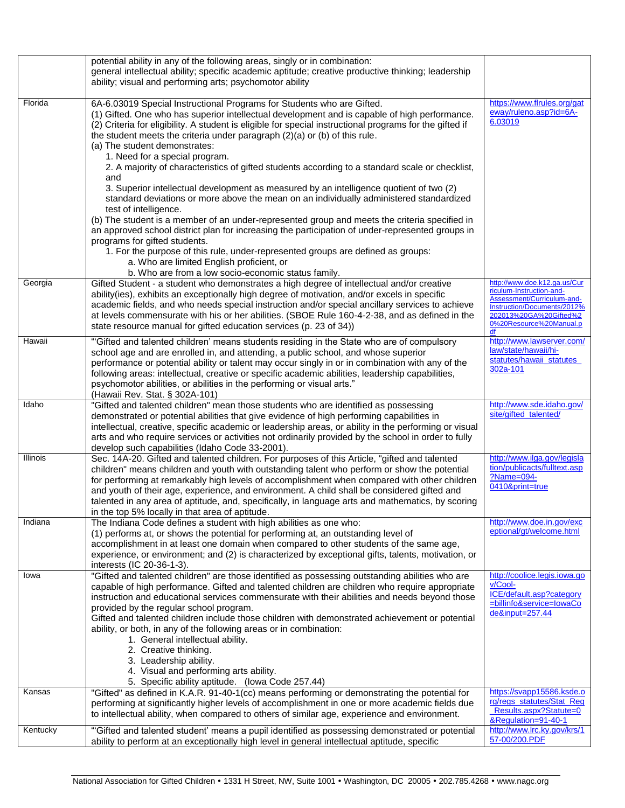|          | potential ability in any of the following areas, singly or in combination:<br>general intellectual ability; specific academic aptitude; creative productive thinking; leadership<br>ability; visual and performing arts; psychomotor ability                                                                                                                                                                                                                                                                                                                                                                                                                                                                                                                  |                                                                                                                                                                                  |
|----------|---------------------------------------------------------------------------------------------------------------------------------------------------------------------------------------------------------------------------------------------------------------------------------------------------------------------------------------------------------------------------------------------------------------------------------------------------------------------------------------------------------------------------------------------------------------------------------------------------------------------------------------------------------------------------------------------------------------------------------------------------------------|----------------------------------------------------------------------------------------------------------------------------------------------------------------------------------|
| Florida  | 6A-6.03019 Special Instructional Programs for Students who are Gifted.<br>(1) Gifted. One who has superior intellectual development and is capable of high performance.<br>(2) Criteria for eligibility. A student is eligible for special instructional programs for the gifted if<br>the student meets the criteria under paragraph (2)(a) or (b) of this rule.<br>(a) The student demonstrates:<br>1. Need for a special program.<br>2. A majority of characteristics of gifted students according to a standard scale or checklist,<br>and<br>3. Superior intellectual development as measured by an intelligence quotient of two (2)<br>standard deviations or more above the mean on an individually administered standardized<br>test of intelligence. | https://www.flrules.org/gat<br>eway/ruleno.asp?id=6A-<br>6.03019                                                                                                                 |
|          | (b) The student is a member of an under-represented group and meets the criteria specified in<br>an approved school district plan for increasing the participation of under-represented groups in<br>programs for gifted students.<br>1. For the purpose of this rule, under-represented groups are defined as groups:<br>a. Who are limited English proficient, or<br>b. Who are from a low socio-economic status family.                                                                                                                                                                                                                                                                                                                                    |                                                                                                                                                                                  |
| Georgia  | Gifted Student - a student who demonstrates a high degree of intellectual and/or creative<br>ability (ies), exhibits an exceptionally high degree of motivation, and/or excels in specific<br>academic fields, and who needs special instruction and/or special ancillary services to achieve<br>at levels commensurate with his or her abilities. (SBOE Rule 160-4-2-38, and as defined in the<br>state resource manual for gifted education services (p. 23 of 34))                                                                                                                                                                                                                                                                                         | http://www.doe.k12.ga.us/Cur<br>riculum-Instruction-and-<br>Assessment/Curriculum-and-<br>Instruction/Documents/2012%<br>202013%20GA%20Gifted%2<br>0%20Resource%20Manual.p<br>df |
| Hawaii   | "Gifted and talented children' means students residing in the State who are of compulsory<br>school age and are enrolled in, and attending, a public school, and whose superior<br>performance or potential ability or talent may occur singly in or in combination with any of the<br>following areas: intellectual, creative or specific academic abilities, leadership capabilities,<br>psychomotor abilities, or abilities in the performing or visual arts."<br>(Hawaii Rev. Stat. § 302A-101)                                                                                                                                                                                                                                                           | http://www.lawserver.com/<br>law/state/hawaii/hi-<br>statutes/hawaii_statutes<br>302a-101                                                                                        |
| Idaho    | "Gifted and talented children" mean those students who are identified as possessing<br>demonstrated or potential abilities that give evidence of high performing capabilities in<br>intellectual, creative, specific academic or leadership areas, or ability in the performing or visual<br>arts and who require services or activities not ordinarily provided by the school in order to fully<br>develop such capabilities (Idaho Code 33-2001).                                                                                                                                                                                                                                                                                                           | http://www.sde.idaho.gov/<br>site/gifted_talented/                                                                                                                               |
| Illinois | Sec. 14A-20. Gifted and talented children. For purposes of this Article, "gifted and talented<br>children" means children and youth with outstanding talent who perform or show the potential<br>for performing at remarkably high levels of accomplishment when compared with other children<br>and youth of their age, experience, and environment. A child shall be considered gifted and<br>talented in any area of aptitude, and, specifically, in language arts and mathematics, by scoring<br>in the top 5% locally in that area of aptitude.                                                                                                                                                                                                          | http://www.ilga.gov/legisla<br>tion/publicacts/fulltext.asp<br>?Name=094-<br>0410&print=true                                                                                     |
| Indiana  | The Indiana Code defines a student with high abilities as one who:<br>(1) performs at, or shows the potential for performing at, an outstanding level of<br>accomplishment in at least one domain when compared to other students of the same age,<br>experience, or environment; and (2) is characterized by exceptional gifts, talents, motivation, or<br>interests (IC 20-36-1-3).                                                                                                                                                                                                                                                                                                                                                                         | http://www.doe.in.gov/exc<br>eptional/gt/welcome.html                                                                                                                            |
| lowa     | "Gifted and talented children" are those identified as possessing outstanding abilities who are<br>capable of high performance. Gifted and talented children are children who require appropriate<br>instruction and educational services commensurate with their abilities and needs beyond those<br>provided by the regular school program.<br>Gifted and talented children include those children with demonstrated achievement or potential<br>ability, or both, in any of the following areas or in combination:<br>1. General intellectual ability.<br>2. Creative thinking.<br>3. Leadership ability.<br>4. Visual and performing arts ability.<br>5. Specific ability aptitude. (lowa Code 257.44)                                                    | http://coolice.legis.iowa.go<br>v/Cool-<br>ICE/default.asp?category<br>=billinfo&service=lowaCo<br>de&input=257.44                                                               |
| Kansas   | "Gifted" as defined in K.A.R. 91-40-1(cc) means performing or demonstrating the potential for<br>performing at significantly higher levels of accomplishment in one or more academic fields due<br>to intellectual ability, when compared to others of similar age, experience and environment.                                                                                                                                                                                                                                                                                                                                                                                                                                                               | https://svapp15586.ksde.o<br>rg/regs_statutes/Stat_Reg<br>Results.aspx?Statute=0<br>&Regulation=91-40-1                                                                          |
| Kentucky | "Gifted and talented student' means a pupil identified as possessing demonstrated or potential<br>ability to perform at an exceptionally high level in general intellectual aptitude, specific                                                                                                                                                                                                                                                                                                                                                                                                                                                                                                                                                                | http://www.lrc.ky.gov/krs/1<br>57-00/200.PDF                                                                                                                                     |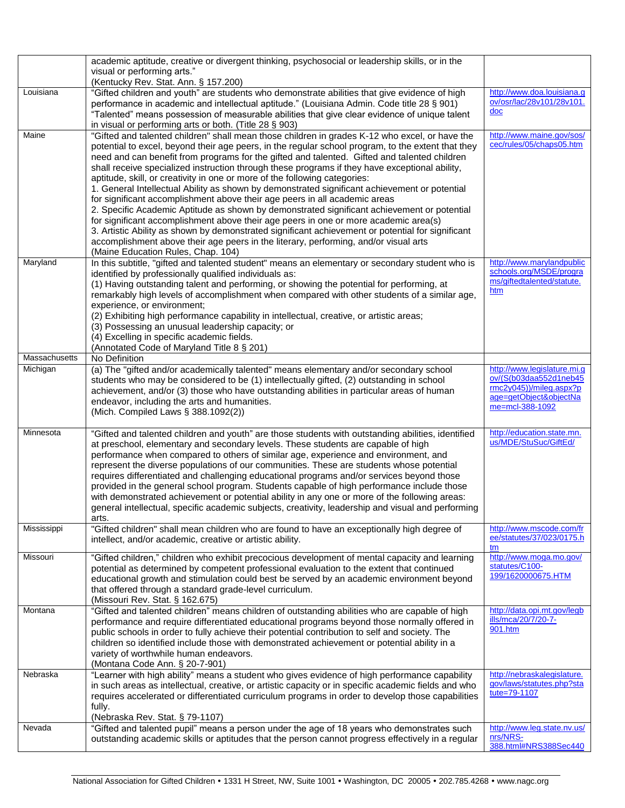|               | academic aptitude, creative or divergent thinking, psychosocial or leadership skills, or in the<br>visual or performing arts."<br>(Kentucky Rev. Stat. Ann. § 157.200)                                                                                                                                                                                                                                                                                                                                                                                                                                                                                                                                                                                                                                                                                                                                                                                                                                                                                                                        |                                                                                                                                 |
|---------------|-----------------------------------------------------------------------------------------------------------------------------------------------------------------------------------------------------------------------------------------------------------------------------------------------------------------------------------------------------------------------------------------------------------------------------------------------------------------------------------------------------------------------------------------------------------------------------------------------------------------------------------------------------------------------------------------------------------------------------------------------------------------------------------------------------------------------------------------------------------------------------------------------------------------------------------------------------------------------------------------------------------------------------------------------------------------------------------------------|---------------------------------------------------------------------------------------------------------------------------------|
| Louisiana     | "Gifted children and youth" are students who demonstrate abilities that give evidence of high<br>performance in academic and intellectual aptitude." (Louisiana Admin. Code title 28 § 901)<br>"Talented" means possession of measurable abilities that give clear evidence of unique talent<br>in visual or performing arts or both. (Title 28 § 903)                                                                                                                                                                                                                                                                                                                                                                                                                                                                                                                                                                                                                                                                                                                                        | http://www.doa.louisiana.g<br>ov/osr/lac/28v101/28v101.<br>$\overline{\mathsf{doc}}$                                            |
| Maine         | "Gifted and talented children" shall mean those children in grades K-12 who excel, or have the<br>potential to excel, beyond their age peers, in the regular school program, to the extent that they<br>need and can benefit from programs for the gifted and talented. Gifted and talented children<br>shall receive specialized instruction through these programs if they have exceptional ability,<br>aptitude, skill, or creativity in one or more of the following categories:<br>1. General Intellectual Ability as shown by demonstrated significant achievement or potential<br>for significant accomplishment above their age peers in all academic areas<br>2. Specific Academic Aptitude as shown by demonstrated significant achievement or potential<br>for significant accomplishment above their age peers in one or more academic area(s)<br>3. Artistic Ability as shown by demonstrated significant achievement or potential for significant<br>accomplishment above their age peers in the literary, performing, and/or visual arts<br>(Maine Education Rules, Chap. 104) | http://www.maine.gov/sos/<br>cec/rules/05/chaps05.htm                                                                           |
| Maryland      | In this subtitle, "gifted and talented student" means an elementary or secondary student who is<br>identified by professionally qualified individuals as:<br>(1) Having outstanding talent and performing, or showing the potential for performing, at<br>remarkably high levels of accomplishment when compared with other students of a similar age,<br>experience, or environment;<br>(2) Exhibiting high performance capability in intellectual, creative, or artistic areas;<br>(3) Possessing an unusual leadership capacity; or<br>(4) Excelling in specific academic fields.<br>(Annotated Code of Maryland Title 8 § 201)                                                                                                                                                                                                                                                                                                                                                                                                                                                            | http://www.marylandpublic<br>schools.org/MSDE/progra<br>ms/giftedtalented/statute.<br>htm                                       |
| Massachusetts | No Definition                                                                                                                                                                                                                                                                                                                                                                                                                                                                                                                                                                                                                                                                                                                                                                                                                                                                                                                                                                                                                                                                                 |                                                                                                                                 |
| Michigan      | (a) The "gifted and/or academically talented" means elementary and/or secondary school<br>students who may be considered to be (1) intellectually gifted, (2) outstanding in school<br>achievement, and/or (3) those who have outstanding abilities in particular areas of human<br>endeavor, including the arts and humanities.<br>(Mich. Compiled Laws § 388.1092(2))                                                                                                                                                                                                                                                                                                                                                                                                                                                                                                                                                                                                                                                                                                                       | http://www.legislature.mi.g<br>ov/(S(b03daa552d1neb45<br>$rmc2y045$ )/mileg.aspx?p<br>age=getObject&objectNa<br>me=mcl-388-1092 |
| Minnesota     | "Gifted and talented children and youth" are those students with outstanding abilities, identified<br>at preschool, elementary and secondary levels. These students are capable of high<br>performance when compared to others of similar age, experience and environment, and<br>represent the diverse populations of our communities. These are students whose potential<br>requires differentiated and challenging educational programs and/or services beyond those<br>provided in the general school program. Students capable of high performance include those<br>with demonstrated achievement or potential ability in any one or more of the following areas:<br>general intellectual, specific academic subjects, creativity, leadership and visual and performing<br>arts.                                                                                                                                                                                                                                                                                                         | http://education.state.mn.<br>us/MDE/StuSuc/GiftEd/                                                                             |
| Mississippi   | "Gifted children" shall mean children who are found to have an exceptionally high degree of<br>intellect, and/or academic, creative or artistic ability.                                                                                                                                                                                                                                                                                                                                                                                                                                                                                                                                                                                                                                                                                                                                                                                                                                                                                                                                      | http://www.mscode.com/fr<br>ee/statutes/37/023/0175.h<br>tm                                                                     |
| Missouri      | "Gifted children," children who exhibit precocious development of mental capacity and learning<br>potential as determined by competent professional evaluation to the extent that continued<br>educational growth and stimulation could best be served by an academic environment beyond<br>that offered through a standard grade-level curriculum.<br>(Missouri Rev. Stat. § 162.675)                                                                                                                                                                                                                                                                                                                                                                                                                                                                                                                                                                                                                                                                                                        | http://www.moga.mo.gov/<br>statutes/C100-<br>199/1620000675.HTM                                                                 |
| Montana       | "Gifted and talented children" means children of outstanding abilities who are capable of high<br>performance and require differentiated educational programs beyond those normally offered in<br>public schools in order to fully achieve their potential contribution to self and society. The<br>children so identified include those with demonstrated achievement or potential ability in a<br>variety of worthwhile human endeavors.<br>(Montana Code Ann. § 20-7-901)                                                                                                                                                                                                                                                                                                                                                                                                                                                                                                                                                                                                                  | http://data.opi.mt.gov/legb<br>ills/mca/20/7/20-7-<br>901.htm                                                                   |
| Nebraska      | "Learner with high ability" means a student who gives evidence of high performance capability<br>in such areas as intellectual, creative, or artistic capacity or in specific academic fields and who<br>requires accelerated or differentiated curriculum programs in order to develop those capabilities<br>fully.<br>(Nebraska Rev. Stat. § 79-1107)                                                                                                                                                                                                                                                                                                                                                                                                                                                                                                                                                                                                                                                                                                                                       | http://nebraskalegislature.<br>gov/laws/statutes.php?sta<br>tute=79-1107                                                        |
| Nevada        | "Gifted and talented pupil" means a person under the age of 18 years who demonstrates such<br>outstanding academic skills or aptitudes that the person cannot progress effectively in a regular                                                                                                                                                                                                                                                                                                                                                                                                                                                                                                                                                                                                                                                                                                                                                                                                                                                                                               | http://www.leg.state.nv.us/<br>nrs/NRS-<br>388.html#NRS388Sec440                                                                |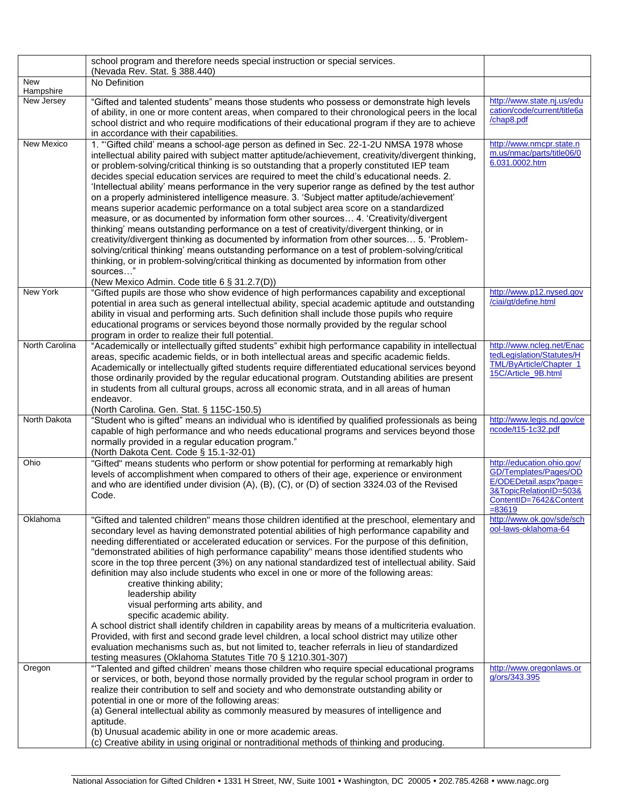|                  | school program and therefore needs special instruction or special services.<br>(Nevada Rev. Stat. § 388.440)                                                                                                                                                                                                                                                                                                                                                                                                                                                                                                                                                                                                                                                                                                                                                                                                                                                                                                                                                                                                                                                                                                                      |                                                                                                                                                 |
|------------------|-----------------------------------------------------------------------------------------------------------------------------------------------------------------------------------------------------------------------------------------------------------------------------------------------------------------------------------------------------------------------------------------------------------------------------------------------------------------------------------------------------------------------------------------------------------------------------------------------------------------------------------------------------------------------------------------------------------------------------------------------------------------------------------------------------------------------------------------------------------------------------------------------------------------------------------------------------------------------------------------------------------------------------------------------------------------------------------------------------------------------------------------------------------------------------------------------------------------------------------|-------------------------------------------------------------------------------------------------------------------------------------------------|
| New<br>Hampshire | No Definition                                                                                                                                                                                                                                                                                                                                                                                                                                                                                                                                                                                                                                                                                                                                                                                                                                                                                                                                                                                                                                                                                                                                                                                                                     |                                                                                                                                                 |
| New Jersey       | "Gifted and talented students" means those students who possess or demonstrate high levels<br>of ability, in one or more content areas, when compared to their chronological peers in the local<br>school district and who require modifications of their educational program if they are to achieve<br>in accordance with their capabilities.                                                                                                                                                                                                                                                                                                                                                                                                                                                                                                                                                                                                                                                                                                                                                                                                                                                                                    | http://www.state.nj.us/edu<br>cation/code/current/title6a<br>/chap8.pdf                                                                         |
| New Mexico       | 1. "Gifted child' means a school-age person as defined in Sec. 22-1-2U NMSA 1978 whose<br>intellectual ability paired with subject matter aptitude/achievement, creativity/divergent thinking,<br>or problem-solving/critical thinking is so outstanding that a properly constituted IEP team<br>decides special education services are required to meet the child's educational needs. 2.<br>'Intellectual ability' means performance in the very superior range as defined by the test author<br>on a properly administered intelligence measure. 3. 'Subject matter aptitude/achievement'<br>means superior academic performance on a total subject area score on a standardized<br>measure, or as documented by information form other sources 4. 'Creativity/divergent<br>thinking' means outstanding performance on a test of creativity/divergent thinking, or in<br>creativity/divergent thinking as documented by information from other sources 5. 'Problem-<br>solving/critical thinking' means outstanding performance on a test of problem-solving/critical<br>thinking, or in problem-solving/critical thinking as documented by information from other<br>sources"<br>(New Mexico Admin. Code title 6 § 31.2.7(D)) | http://www.nmcpr.state.n<br>m.us/nmac/parts/title06/0<br>6.031.0002.htm                                                                         |
| New York         | "Gifted pupils are those who show evidence of high performances capability and exceptional<br>potential in area such as general intellectual ability, special academic aptitude and outstanding<br>ability in visual and performing arts. Such definition shall include those pupils who require<br>educational programs or services beyond those normally provided by the regular school<br>program in order to realize their full potential.                                                                                                                                                                                                                                                                                                                                                                                                                                                                                                                                                                                                                                                                                                                                                                                    | http://www.p12.nysed.gov<br>/ciai/gt/define.html                                                                                                |
| North Carolina   | "Academically or intellectually gifted students" exhibit high performance capability in intellectual<br>areas, specific academic fields, or in both intellectual areas and specific academic fields.<br>Academically or intellectually gifted students require differentiated educational services beyond<br>those ordinarily provided by the regular educational program. Outstanding abilities are present<br>in students from all cultural groups, across all economic strata, and in all areas of human<br>endeavor.<br>(North Carolina. Gen. Stat. § 115C-150.5)                                                                                                                                                                                                                                                                                                                                                                                                                                                                                                                                                                                                                                                             | http://www.ncleg.net/Enac<br>tedLegislation/Statutes/H<br>TML/ByArticle/Chapter_1<br>15C/Article_9B.html                                        |
| North Dakota     | "Student who is gifted" means an individual who is identified by qualified professionals as being<br>capable of high performance and who needs educational programs and services beyond those<br>normally provided in a regular education program."<br>(North Dakota Cent. Code § 15.1-32-01)                                                                                                                                                                                                                                                                                                                                                                                                                                                                                                                                                                                                                                                                                                                                                                                                                                                                                                                                     | http://www.legis.nd.gov/ce<br>ncode/t15-1c32.pdf                                                                                                |
| Ohio             | "Gifted" means students who perform or show potential for performing at remarkably high<br>levels of accomplishment when compared to others of their age, experience or environment<br>and who are identified under division (A), (B), (C), or (D) of section 3324.03 of the Revised<br>Code.                                                                                                                                                                                                                                                                                                                                                                                                                                                                                                                                                                                                                                                                                                                                                                                                                                                                                                                                     | http://education.ohio.gov/<br>GD/Templates/Pages/OD<br>E/ODEDetail.aspx?page=<br>3&TopicRelationID=503&<br>ContentID=7642&Content<br>$= 8.3619$ |
| Oklahoma         | "Gifted and talented children" means those children identified at the preschool, elementary and<br>secondary level as having demonstrated potential abilities of high performance capability and<br>needing differentiated or accelerated education or services. For the purpose of this definition,<br>"demonstrated abilities of high performance capability" means those identified students who<br>score in the top three percent (3%) on any national standardized test of intellectual ability. Said<br>definition may also include students who excel in one or more of the following areas:<br>creative thinking ability;<br>leadership ability<br>visual performing arts ability, and<br>specific academic ability.<br>A school district shall identify children in capability areas by means of a multicriteria evaluation.<br>Provided, with first and second grade level children, a local school district may utilize other<br>evaluation mechanisms such as, but not limited to, teacher referrals in lieu of standardized                                                                                                                                                                                          | http://www.ok.gov/sde/sch<br>ool-laws-oklahoma-64                                                                                               |
| Oregon           | testing measures (Oklahoma Statutes Title 70 § 1210.301-307)<br>"Talented and gifted children' means those children who require special educational programs<br>or services, or both, beyond those normally provided by the regular school program in order to<br>realize their contribution to self and society and who demonstrate outstanding ability or<br>potential in one or more of the following areas:<br>(a) General intellectual ability as commonly measured by measures of intelligence and<br>aptitude.<br>(b) Unusual academic ability in one or more academic areas.<br>(c) Creative ability in using original or nontraditional methods of thinking and producing.                                                                                                                                                                                                                                                                                                                                                                                                                                                                                                                                               | http://www.oregonlaws.or<br>g/ors/343.395                                                                                                       |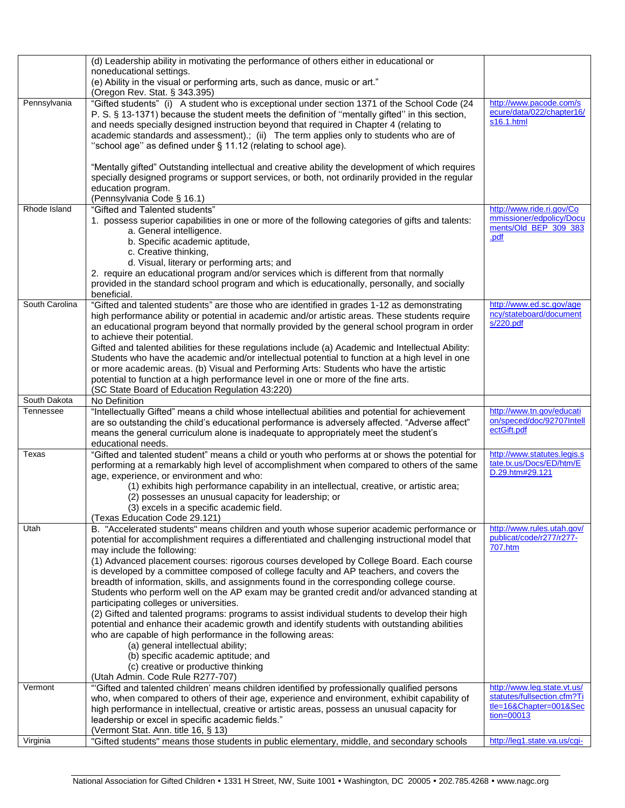|                           | (d) Leadership ability in motivating the performance of others either in educational or                                                                                                |                                                            |
|---------------------------|----------------------------------------------------------------------------------------------------------------------------------------------------------------------------------------|------------------------------------------------------------|
|                           | noneducational settings.<br>(e) Ability in the visual or performing arts, such as dance, music or art."                                                                                |                                                            |
|                           | (Oregon Rev. Stat. § 343.395)                                                                                                                                                          |                                                            |
| Pennsylvania              | "Gifted students" (i) A student who is exceptional under section 1371 of the School Code (24                                                                                           | http://www.pacode.com/s                                    |
|                           | P. S. § 13-1371) because the student meets the definition of "mentally gifted" in this section,                                                                                        | ecure/data/022/chapter16/                                  |
|                           | and needs specially designed instruction beyond that required in Chapter 4 (relating to                                                                                                | s16.1.html                                                 |
|                           | academic standards and assessment).; (ii) The term applies only to students who are of                                                                                                 |                                                            |
|                           | "school age" as defined under § 11.12 (relating to school age).                                                                                                                        |                                                            |
|                           |                                                                                                                                                                                        |                                                            |
|                           | "Mentally gifted" Outstanding intellectual and creative ability the development of which requires                                                                                      |                                                            |
|                           | specially designed programs or support services, or both, not ordinarily provided in the regular                                                                                       |                                                            |
|                           | education program.                                                                                                                                                                     |                                                            |
|                           | (Pennsylvania Code § 16.1)                                                                                                                                                             |                                                            |
| Rhode Island              | "Gifted and Talented students"                                                                                                                                                         | http://www.ride.ri.gov/Co                                  |
|                           | 1. possess superior capabilities in one or more of the following categories of gifts and talents:                                                                                      | mmissioner/edpolicy/Docu                                   |
|                           | a. General intelligence.                                                                                                                                                               | ments/Old_BEP_309_383                                      |
|                           | b. Specific academic aptitude,                                                                                                                                                         | .pdf                                                       |
|                           | c. Creative thinking,                                                                                                                                                                  |                                                            |
|                           | d. Visual, literary or performing arts; and                                                                                                                                            |                                                            |
|                           | 2. require an educational program and/or services which is different from that normally                                                                                                |                                                            |
|                           | provided in the standard school program and which is educationally, personally, and socially                                                                                           |                                                            |
|                           | beneficial.                                                                                                                                                                            |                                                            |
| South Carolina            | "Gifted and talented students" are those who are identified in grades 1-12 as demonstrating                                                                                            | http://www.ed.sc.gov/age                                   |
|                           | high performance ability or potential in academic and/or artistic areas. These students require                                                                                        | ncy/stateboard/document                                    |
|                           | an educational program beyond that normally provided by the general school program in order                                                                                            | s/220.pdf                                                  |
|                           | to achieve their potential.                                                                                                                                                            |                                                            |
|                           | Gifted and talented abilities for these regulations include (a) Academic and Intellectual Ability:                                                                                     |                                                            |
|                           | Students who have the academic and/or intellectual potential to function at a high level in one                                                                                        |                                                            |
|                           | or more academic areas. (b) Visual and Performing Arts: Students who have the artistic                                                                                                 |                                                            |
|                           | potential to function at a high performance level in one or more of the fine arts.                                                                                                     |                                                            |
|                           | (SC State Board of Education Regulation 43:220)                                                                                                                                        |                                                            |
| South Dakota<br>Tennessee | No Definition                                                                                                                                                                          | http://www.tn.gov/educati                                  |
|                           | "Intellectually Gifted" means a child whose intellectual abilities and potential for achievement                                                                                       | on/speced/doc/92707Intell                                  |
|                           | are so outstanding the child's educational performance is adversely affected. "Adverse affect"<br>means the general curriculum alone is inadequate to appropriately meet the student's | ectGift.pdf                                                |
|                           | educational needs.                                                                                                                                                                     |                                                            |
| Texas                     | "Gifted and talented student" means a child or youth who performs at or shows the potential for                                                                                        | http://www.statutes.legis.s                                |
|                           | performing at a remarkably high level of accomplishment when compared to others of the same                                                                                            | tate.tx.us/Docs/ED/htm/E                                   |
|                           | age, experience, or environment and who:                                                                                                                                               | D.29.htm#29.121                                            |
|                           | (1) exhibits high performance capability in an intellectual, creative, or artistic area;                                                                                               |                                                            |
|                           | (2) possesses an unusual capacity for leadership; or                                                                                                                                   |                                                            |
|                           | (3) excels in a specific academic field.                                                                                                                                               |                                                            |
|                           | (Texas Education Code 29.121)                                                                                                                                                          |                                                            |
| Utah                      | B. "Accelerated students" means children and youth whose superior academic performance or                                                                                              | http://www.rules.utah.gov/                                 |
|                           | potential for accomplishment requires a differentiated and challenging instructional model that                                                                                        | publicat/code/r277/r277-                                   |
|                           | may include the following:                                                                                                                                                             | 707.htm                                                    |
|                           | (1) Advanced placement courses: rigorous courses developed by College Board. Each course                                                                                               |                                                            |
|                           | is developed by a committee composed of college faculty and AP teachers, and covers the                                                                                                |                                                            |
|                           | breadth of information, skills, and assignments found in the corresponding college course.                                                                                             |                                                            |
|                           | Students who perform well on the AP exam may be granted credit and/or advanced standing at                                                                                             |                                                            |
|                           | participating colleges or universities.                                                                                                                                                |                                                            |
|                           | (2) Gifted and talented programs: programs to assist individual students to develop their high                                                                                         |                                                            |
|                           | potential and enhance their academic growth and identify students with outstanding abilities                                                                                           |                                                            |
|                           | who are capable of high performance in the following areas:                                                                                                                            |                                                            |
|                           | (a) general intellectual ability;                                                                                                                                                      |                                                            |
|                           | (b) specific academic aptitude; and                                                                                                                                                    |                                                            |
|                           | (c) creative or productive thinking                                                                                                                                                    |                                                            |
|                           | (Utah Admin. Code Rule R277-707)                                                                                                                                                       |                                                            |
| Vermont                   | "Gifted and talented children' means children identified by professionally qualified persons                                                                                           | http://www.leq.state.vt.us/<br>statutes/fullsection.cfm?Ti |
|                           | who, when compared to others of their age, experience and environment, exhibit capability of                                                                                           | tle=16&Chapter=001&Sec                                     |
|                           | high performance in intellectual, creative or artistic areas, possess an unusual capacity for<br>leadership or excel in specific academic fields."                                     | $tion = 00013$                                             |
|                           | (Vermont Stat. Ann. title 16, § 13)                                                                                                                                                    |                                                            |
| Virginia                  | "Gifted students" means those students in public elementary, middle, and secondary schools                                                                                             | http://leg1.state.va.us/cgi-                               |
|                           |                                                                                                                                                                                        |                                                            |